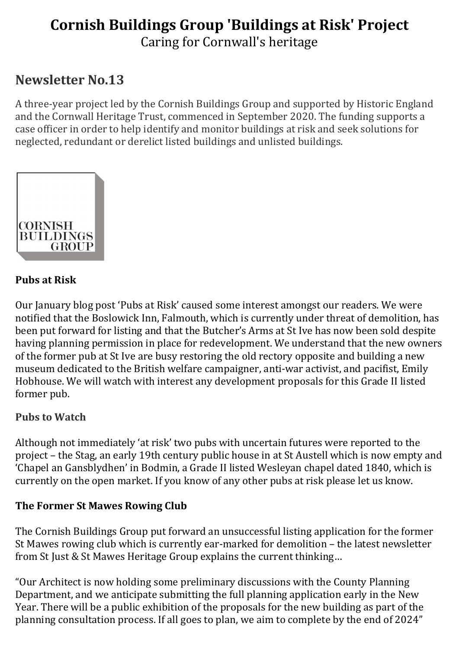# Cornish Buildings Group 'Buildings at Risk' Project Caring for Cornwall's heritage

# Newsletter No.13

A three-year project led by the Cornish Buildings Group and supported by Historic England and the Cornwall Heritage Trust, commenced in September 2020. The funding supports a case officer in order to help identify and monitor buildings at risk and seek solutions for neglected, redundant or derelict listed buildings and unlisted buildings.



## Pubs at Risk

Our January blog post 'Pubs at Risk' caused some interest amongst our readers. We were notified that the Boslowick Inn, Falmouth, which is currently under threat of demolition, has been put forward for listing and that the Butcher's Arms at St Ive has now been sold despite having planning permission in place for redevelopment. We understand that the new owners of the former pub at St Ive are busy restoring the old rectory opposite and building a new museum dedicated to the British welfare campaigner, anti-war activist, and pacifist, Emily Hobhouse. We will watch with interest any development proposals for this Grade II listed former pub.

# Pubs to Watch

Although not immediately 'at risk' two pubs with uncertain futures were reported to the project – the Stag, an early 19th century public house in at St Austell which is now empty and 'Chapel an Gansblydhen' in Bodmin, a Grade II listed Wesleyan chapel dated 1840, which is currently on the open market. If you know of any other pubs at risk please let us know.

#### The Former St Mawes Rowing Club

The Cornish Buildings Group put forward an unsuccessful listing application for the former St Mawes rowing club which is currently ear-marked for demolition – the latest newsletter from St Just & St Mawes Heritage Group explains the current thinking…

"Our Architect is now holding some preliminary discussions with the County Planning Department, and we anticipate submitting the full planning application early in the New Year. There will be a public exhibition of the proposals for the new building as part of the planning consultation process. If all goes to plan, we aim to complete by the end of 2024"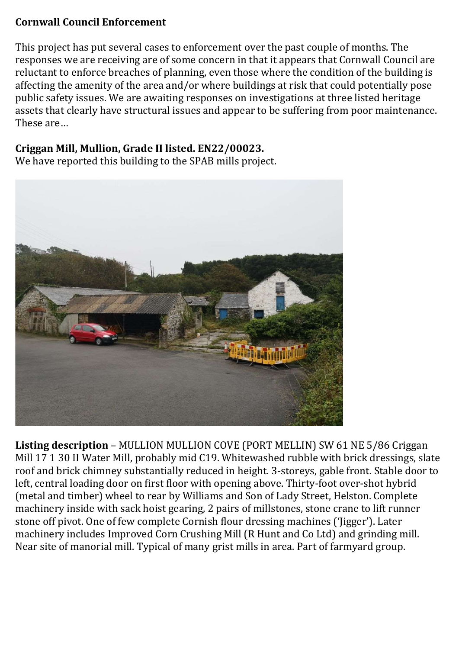#### Cornwall Council Enforcement

This project has put several cases to enforcement over the past couple of months. The responses we are receiving are of some concern in that it appears that Cornwall Council are reluctant to enforce breaches of planning, even those where the condition of the building is affecting the amenity of the area and/or where buildings at risk that could potentially pose public safety issues. We are awaiting responses on investigations at three listed heritage assets that clearly have structural issues and appear to be suffering from poor maintenance. These are…

#### Criggan Mill, Mullion, Grade II listed. EN22/00023.

We have reported this building to the SPAB mills project.



Listing description – MULLION MULLION COVE (PORT MELLIN) SW 61 NE 5/86 Criggan Mill 17 1 30 II Water Mill, probably mid C19. Whitewashed rubble with brick dressings, slate roof and brick chimney substantially reduced in height. 3-storeys, gable front. Stable door to left, central loading door on first floor with opening above. Thirty-foot over-shot hybrid (metal and timber) wheel to rear by Williams and Son of Lady Street, Helston. Complete machinery inside with sack hoist gearing, 2 pairs of millstones, stone crane to lift runner stone off pivot. One of few complete Cornish flour dressing machines ('Jigger'). Later machinery includes Improved Corn Crushing Mill (R Hunt and Co Ltd) and grinding mill. Near site of manorial mill. Typical of many grist mills in area. Part of farmyard group.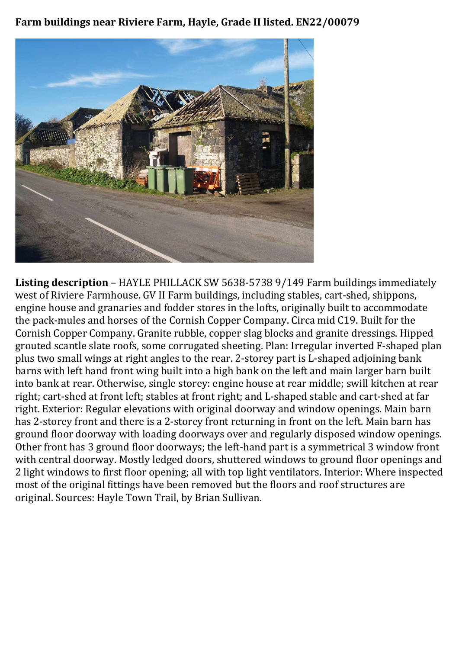Farm buildings near Riviere Farm, Hayle, Grade II listed. EN22/00079



Listing description – HAYLE PHILLACK SW 5638-5738 9/149 Farm buildings immediately west of Riviere Farmhouse. GV II Farm buildings, including stables, cart-shed, shippons, engine house and granaries and fodder stores in the lofts, originally built to accommodate the pack-mules and horses of the Cornish Copper Company. Circa mid C19. Built for the Cornish Copper Company. Granite rubble, copper slag blocks and granite dressings. Hipped grouted scantle slate roofs, some corrugated sheeting. Plan: Irregular inverted F-shaped plan plus two small wings at right angles to the rear. 2-storey part is L-shaped adjoining bank barns with left hand front wing built into a high bank on the left and main larger barn built into bank at rear. Otherwise, single storey: engine house at rear middle; swill kitchen at rear right; cart-shed at front left; stables at front right; and L-shaped stable and cart-shed at far right. Exterior: Regular elevations with original doorway and window openings. Main barn has 2-storey front and there is a 2-storey front returning in front on the left. Main barn has ground floor doorway with loading doorways over and regularly disposed window openings. Other front has 3 ground floor doorways; the left-hand part is a symmetrical 3 window front with central doorway. Mostly ledged doors, shuttered windows to ground floor openings and 2 light windows to first floor opening; all with top light ventilators. Interior: Where inspected most of the original fittings have been removed but the floors and roof structures are original. Sources: Hayle Town Trail, by Brian Sullivan.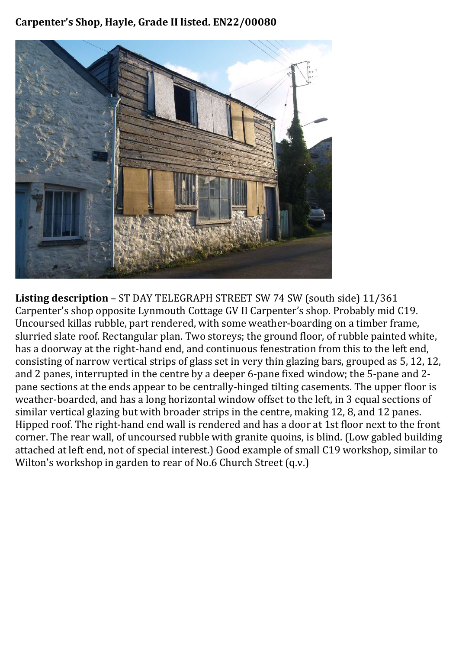#### Carpenter's Shop, Hayle, Grade II listed. EN22/00080



Listing description – ST DAY TELEGRAPH STREET SW 74 SW (south side) 11/361 Carpenter's shop opposite Lynmouth Cottage GV II Carpenter's shop. Probably mid C19. Uncoursed killas rubble, part rendered, with some weather-boarding on a timber frame, slurried slate roof. Rectangular plan. Two storeys; the ground floor, of rubble painted white, has a doorway at the right-hand end, and continuous fenestration from this to the left end, consisting of narrow vertical strips of glass set in very thin glazing bars, grouped as 5, 12, 12, and 2 panes, interrupted in the centre by a deeper 6-pane fixed window; the 5-pane and 2 pane sections at the ends appear to be centrally-hinged tilting casements. The upper floor is weather-boarded, and has a long horizontal window offset to the left, in 3 equal sections of similar vertical glazing but with broader strips in the centre, making 12, 8, and 12 panes. Hipped roof. The right-hand end wall is rendered and has a door at 1st floor next to the front corner. The rear wall, of uncoursed rubble with granite quoins, is blind. (Low gabled building attached at left end, not of special interest.) Good example of small C19 workshop, similar to Wilton's workshop in garden to rear of No.6 Church Street (q.v.)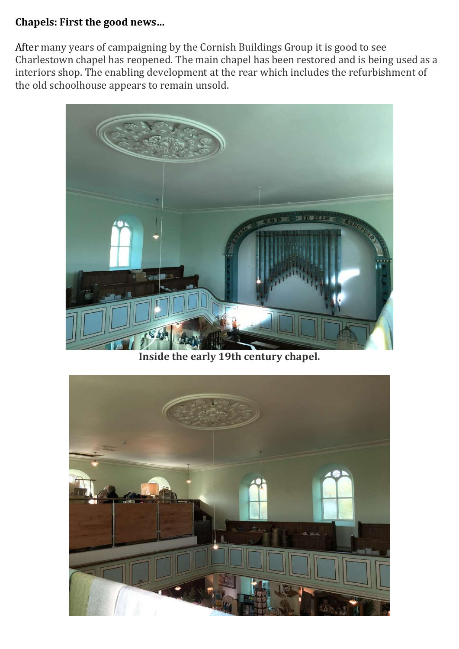#### Chapels: First the good news…

After many years of campaigning by the Cornish Buildings Group it is good to see Charlestown chapel has reopened. The main chapel has been restored and is being used as a interiors shop. The enabling development at the rear which includes the refurbishment of the old schoolhouse appears to remain unsold.



Inside the early 19th century chapel.

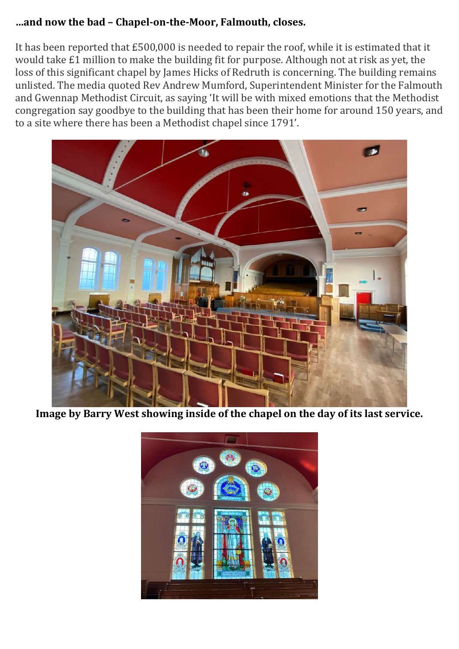#### …and now the bad – Chapel-on-the-Moor, Falmouth, closes.

It has been reported that £500,000 is needed to repair the roof, while it is estimated that it would take £1 million to make the building fit for purpose. Although not at risk as yet, the loss of this significant chapel by James Hicks of Redruth is concerning. The building remains unlisted. The media quoted Rev Andrew Mumford, Superintendent Minister for the Falmouth and Gwennap Methodist Circuit, as saying 'It will be with mixed emotions that the Methodist congregation say goodbye to the building that has been their home for around 150 years, and to a site where there has been a Methodist chapel since 1791'.



Image by Barry West showing inside of the chapel on the day of its last service.

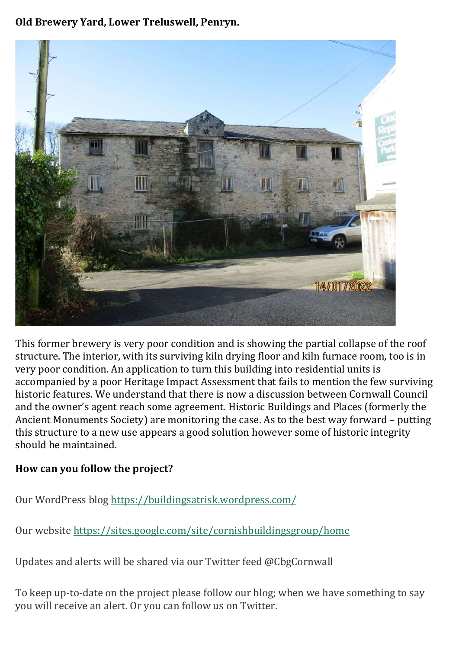Old Brewery Yard, Lower Treluswell, Penryn.



This former brewery is very poor condition and is showing the partial collapse of the roof structure. The interior, with its surviving kiln drying floor and kiln furnace room, too is in very poor condition. An application to turn this building into residential units is accompanied by a poor Heritage Impact Assessment that fails to mention the few surviving historic features. We understand that there is now a discussion between Cornwall Council and the owner's agent reach some agreement. Historic Buildings and Places (formerly the Ancient Monuments Society) are monitoring the case. As to the best way forward – putting this structure to a new use appears a good solution however some of historic integrity should be maintained.

# How can you follow the project?

Our WordPress blog https://buildingsatrisk.wordpress.com/

Our website https://sites.google.com/site/cornishbuildingsgroup/home

Updates and alerts will be shared via our Twitter feed @CbgCornwall

To keep up-to-date on the project please follow our blog; when we have something to say you will receive an alert. Or you can follow us on Twitter.